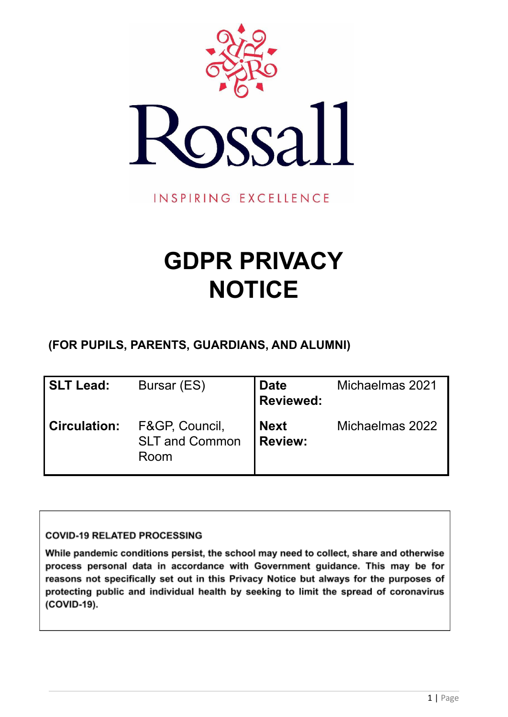

INSPIRING EXCELLENCE

# **GDPR PRIVACY NOTICE**

**(FOR PUPILS, PARENTS, GUARDIANS, AND ALUMNI)**

| SLT Lead:           | Bursar (ES)                                     | <b>Date</b><br><b>Reviewed:</b> | Michaelmas 2021 |
|---------------------|-------------------------------------------------|---------------------------------|-----------------|
| <b>Circulation:</b> | F&GP, Council,<br><b>SLT and Common</b><br>Room | <b>Next</b><br><b>I</b> Review: | Michaelmas 2022 |

# **COVID-19 RELATED PROCESSING**

While pandemic conditions persist, the school may need to collect, share and otherwise process personal data in accordance with Government guidance. This may be for reasons not specifically set out in this Privacy Notice but always for the purposes of protecting public and individual health by seeking to limit the spread of coronavirus (COVID-19).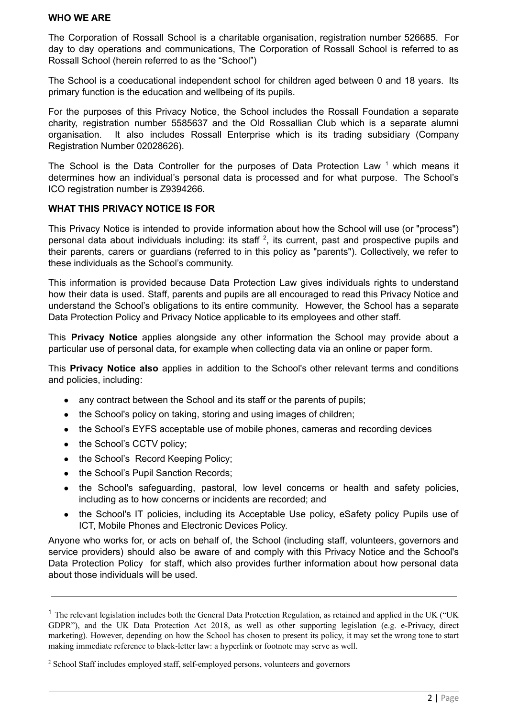#### **WHO WE ARE**

The Corporation of Rossall School is a charitable organisation, registration number 526685. For day to day operations and communications, The Corporation of Rossall School is referred to as Rossall School (herein referred to as the "School")

The School is a coeducational independent school for children aged between 0 and 18 years. Its primary function is the education and wellbeing of its pupils.

For the purposes of this Privacy Notice, the School includes the Rossall Foundation a separate charity, registration number 5585637 and the Old Rossallian Club which is a separate alumni organisation. It also includes Rossall Enterprise which is its trading subsidiary (Company Registration Number 02028626).

The School is the Data Controller for the purposes of Data Protection Law<sup>1</sup> which means it determines how an individual's personal data is processed and for what purpose. The School's ICO registration number is Z9394266.

## **WHAT THIS PRIVACY NOTICE IS FOR**

This Privacy Notice is intended to provide information about how the School will use (or "process") personal data about individuals including: its staff<sup>2</sup>, its current, past and prospective pupils and their parents, carers or guardians (referred to in this policy as "parents"). Collectively, we refer to these individuals as the School's community.

This information is provided because Data Protection Law gives individuals rights to understand how their data is used. Staff, parents and pupils are all encouraged to read this Privacy Notice and understand the School's obligations to its entire community. However, the School has a separate Data Protection Policy and Privacy Notice applicable to its employees and other staff.

This **Privacy Notice** applies alongside any other information the School may provide about a particular use of personal data, for example when collecting data via an online or paper form.

This **Privacy Notice also** applies in addition to the School's other relevant terms and conditions and policies, including:

- any contract between the School and its staff or the parents of pupils;
- the School's policy on taking, storing and using images of children;
- the School's EYFS acceptable use of mobile phones, cameras and recording devices
- the School's CCTV policy;
- the School's Record Keeping Policy;
- the School's Pupil Sanction Records;
- the School's safeguarding, pastoral, low level concerns or health and safety policies, including as to how concerns or incidents are recorded; and
- the School's IT policies, including its Acceptable Use policy, eSafety policy Pupils use of ICT, Mobile Phones and Electronic Devices Policy.

Anyone who works for, or acts on behalf of, the School (including staff, volunteers, governors and service providers) should also be aware of and comply with this Privacy Notice and the School's Data Protection Policy for staff, which also provides further information about how personal data about those individuals will be used.

<sup>&</sup>lt;sup>1</sup> The relevant legislation includes both the General Data Protection Regulation, as retained and applied in the UK ("UK GDPR"), and the UK Data Protection Act 2018, as well as other supporting legislation (e.g. e-Privacy, direct marketing). However, depending on how the School has chosen to present its policy, it may set the wrong tone to start making immediate reference to black-letter law: a hyperlink or footnote may serve as well.

<sup>&</sup>lt;sup>2</sup> School Staff includes employed staff, self-employed persons, volunteers and governors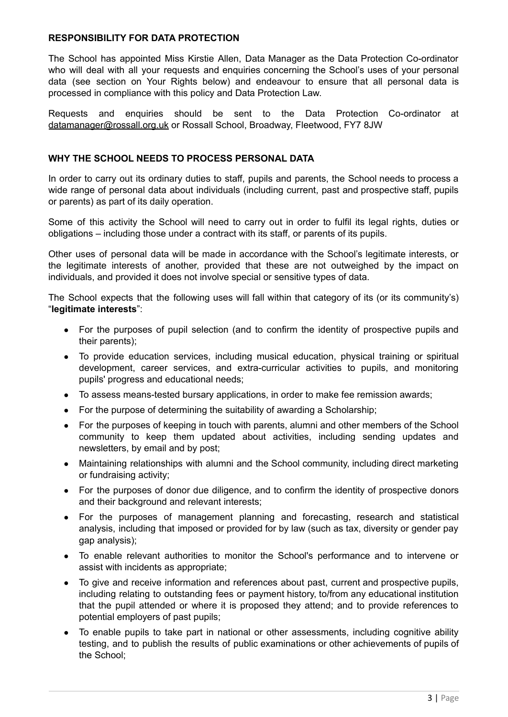#### **RESPONSIBILITY FOR DATA PROTECTION**

The School has appointed Miss Kirstie Allen, Data Manager as the Data Protection Co-ordinator who will deal with all your requests and enquiries concerning the School's uses of your personal data (see section on Your Rights below) and endeavour to ensure that all personal data is processed in compliance with this policy and Data Protection Law.

Requests and enquiries should be sent to the Data Protection Co-ordinator at [datamanager@rossall.org.uk](mailto:datamanager@rossall.org.uk) or Rossall School, Broadway, Fleetwood, FY7 8JW

## **WHY THE SCHOOL NEEDS TO PROCESS PERSONAL DATA**

In order to carry out its ordinary duties to staff, pupils and parents, the School needs to process a wide range of personal data about individuals (including current, past and prospective staff, pupils or parents) as part of its daily operation.

Some of this activity the School will need to carry out in order to fulfil its legal rights, duties or obligations – including those under a contract with its staff, or parents of its pupils.

Other uses of personal data will be made in accordance with the School's legitimate interests, or the legitimate interests of another, provided that these are not outweighed by the impact on individuals, and provided it does not involve special or sensitive types of data.

The School expects that the following uses will fall within that category of its (or its community's) "**legitimate interests**":

- For the purposes of pupil selection (and to confirm the identity of prospective pupils and their parents);
- To provide education services, including musical education, physical training or spiritual development, career services, and extra-curricular activities to pupils, and monitoring pupils' progress and educational needs;
- To assess means-tested bursary applications, in order to make fee remission awards;
- For the purpose of determining the suitability of awarding a Scholarship;
- For the purposes of keeping in touch with parents, alumni and other members of the School community to keep them updated about activities, including sending updates and newsletters, by email and by post;
- Maintaining relationships with alumni and the School community, including direct marketing or fundraising activity;
- For the purposes of donor due diligence, and to confirm the identity of prospective donors and their background and relevant interests;
- For the purposes of management planning and forecasting, research and statistical analysis, including that imposed or provided for by law (such as tax, diversity or gender pay gap analysis);
- To enable relevant authorities to monitor the School's performance and to intervene or assist with incidents as appropriate;
- To give and receive information and references about past, current and prospective pupils, including relating to outstanding fees or payment history, to/from any educational institution that the pupil attended or where it is proposed they attend; and to provide references to potential employers of past pupils;
- To enable pupils to take part in national or other assessments, including cognitive ability testing, and to publish the results of public examinations or other achievements of pupils of the School;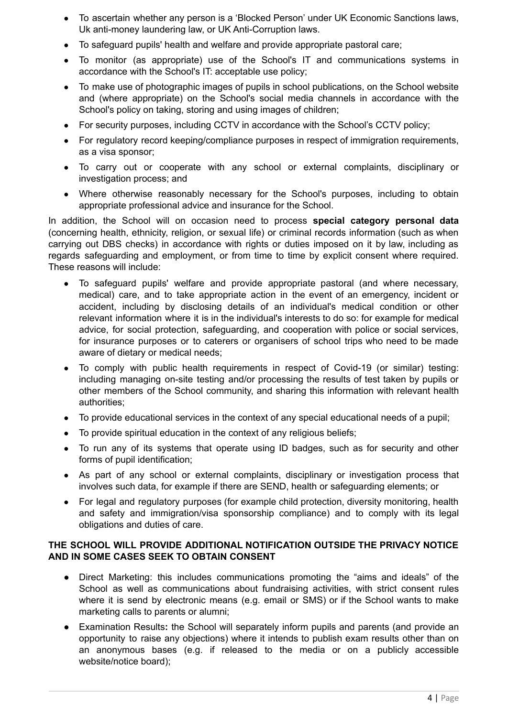- To ascertain whether any person is a 'Blocked Person' under UK Economic Sanctions laws, Uk anti-money laundering law, or UK Anti-Corruption laws.
- To safeguard pupils' health and welfare and provide appropriate pastoral care;
- To monitor (as appropriate) use of the School's IT and communications systems in accordance with the School's IT: acceptable use policy;
- To make use of photographic images of pupils in school publications, on the School website and (where appropriate) on the School's social media channels in accordance with the School's policy on taking, storing and using images of children;
- For security purposes, including CCTV in accordance with the School's CCTV policy;
- For regulatory record keeping/compliance purposes in respect of immigration requirements, as a visa sponsor;
- To carry out or cooperate with any school or external complaints, disciplinary or investigation process; and
- Where otherwise reasonably necessary for the School's purposes, including to obtain appropriate professional advice and insurance for the School.

In addition, the School will on occasion need to process **special category personal data** (concerning health, ethnicity, religion, or sexual life) or criminal records information (such as when carrying out DBS checks) in accordance with rights or duties imposed on it by law, including as regards safeguarding and employment, or from time to time by explicit consent where required. These reasons will include:

- To safeguard pupils' welfare and provide appropriate pastoral (and where necessary, medical) care, and to take appropriate action in the event of an emergency, incident or accident, including by disclosing details of an individual's medical condition or other relevant information where it is in the individual's interests to do so: for example for medical advice, for social protection, safeguarding, and cooperation with police or social services, for insurance purposes or to caterers or organisers of school trips who need to be made aware of dietary or medical needs;
- To comply with public health requirements in respect of Covid-19 (or similar) testing: including managing on-site testing and/or processing the results of test taken by pupils or other members of the School community, and sharing this information with relevant health authorities;
- To provide educational services in the context of any special educational needs of a pupil;
- To provide spiritual education in the context of any religious beliefs;
- To run any of its systems that operate using ID badges, such as for security and other forms of pupil identification;
- As part of any school or external complaints, disciplinary or investigation process that involves such data, for example if there are SEND, health or safeguarding elements; or
- For legal and regulatory purposes (for example child protection, diversity monitoring, health and safety and immigration/visa sponsorship compliance) and to comply with its legal obligations and duties of care.

## **THE SCHOOL WILL PROVIDE ADDITIONAL NOTIFICATION OUTSIDE THE PRIVACY NOTICE AND IN SOME CASES SEEK TO OBTAIN CONSENT**

- **●** Direct Marketing: this includes communications promoting the "aims and ideals" of the School as well as communications about fundraising activities, with strict consent rules where it is send by electronic means (e.g. email or SMS) or if the School wants to make marketing calls to parents or alumni;
- **●** Examination Results**:** the School will separately inform pupils and parents (and provide an opportunity to raise any objections) where it intends to publish exam results other than on an anonymous bases (e.g. if released to the media or on a publicly accessible website/notice board);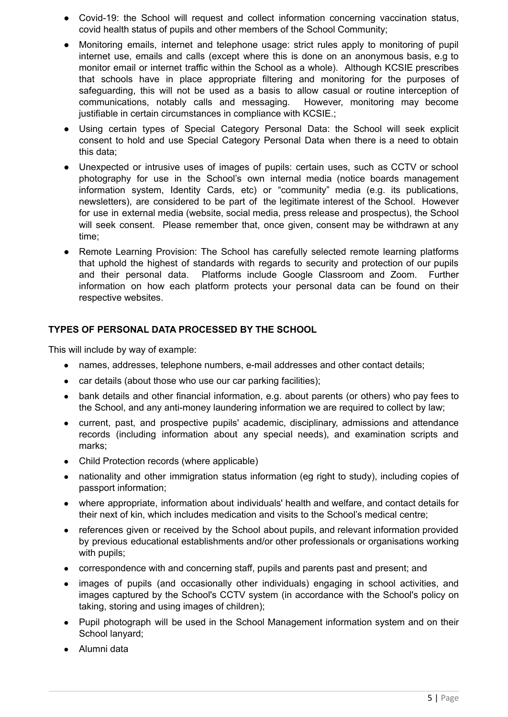- **●** Covid-19: the School will request and collect information concerning vaccination status, covid health status of pupils and other members of the School Community;
- Monitoring emails, internet and telephone usage: strict rules apply to monitoring of pupil internet use, emails and calls (except where this is done on an anonymous basis, e.g to monitor email or internet traffic within the School as a whole). Although KCSIE prescribes that schools have in place appropriate filtering and monitoring for the purposes of safeguarding, this will not be used as a basis to allow casual or routine interception of communications, notably calls and messaging. However, monitoring may become justifiable in certain circumstances in compliance with KCSIE.;
- Using certain types of Special Category Personal Data: the School will seek explicit consent to hold and use Special Category Personal Data when there is a need to obtain this data;
- Unexpected or intrusive uses of images of pupils: certain uses, such as CCTV or school photography for use in the School's own internal media (notice boards management information system, Identity Cards, etc) or "community" media (e.g. its publications, newsletters), are considered to be part of the legitimate interest of the School. However for use in external media (website, social media, press release and prospectus), the School will seek consent. Please remember that, once given, consent may be withdrawn at any time;
- Remote Learning Provision: The School has carefully selected remote learning platforms that uphold the highest of standards with regards to security and protection of our pupils and their personal data. Platforms include Google Classroom and Zoom. Further information on how each platform protects your personal data can be found on their respective websites.

## **TYPES OF PERSONAL DATA PROCESSED BY THE SCHOOL**

This will include by way of example:

- names, addresses, telephone numbers, e-mail addresses and other contact details;
- car details (about those who use our car parking facilities);
- bank details and other financial information, e.g. about parents (or others) who pay fees to the School, and any anti-money laundering information we are required to collect by law;
- current, past, and prospective pupils' academic, disciplinary, admissions and attendance records (including information about any special needs), and examination scripts and marks;
- Child Protection records (where applicable)
- nationality and other immigration status information (eg right to study), including copies of passport information;
- where appropriate, information about individuals' health and welfare, and contact details for their next of kin, which includes medication and visits to the School's medical centre;
- references given or received by the School about pupils, and relevant information provided by previous educational establishments and/or other professionals or organisations working with pupils;
- correspondence with and concerning staff, pupils and parents past and present; and
- images of pupils (and occasionally other individuals) engaging in school activities, and images captured by the School's CCTV system (in accordance with the School's policy on taking, storing and using images of children);
- Pupil photograph will be used in the School Management information system and on their School lanyard;
- Alumni data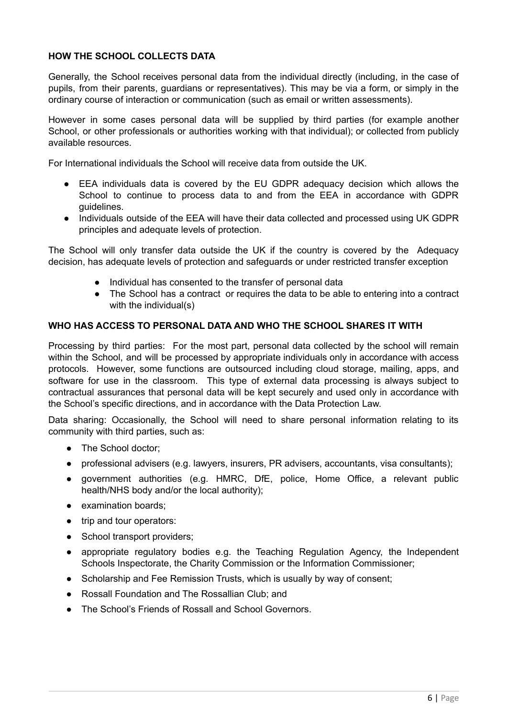# **HOW THE SCHOOL COLLECTS DATA**

Generally, the School receives personal data from the individual directly (including, in the case of pupils, from their parents, guardians or representatives). This may be via a form, or simply in the ordinary course of interaction or communication (such as email or written assessments).

However in some cases personal data will be supplied by third parties (for example another School, or other professionals or authorities working with that individual); or collected from publicly available resources.

For International individuals the School will receive data from outside the UK.

- EEA individuals data is covered by the EU GDPR adequacy decision which allows the School to continue to process data to and from the EEA in accordance with GDPR guidelines.
- Individuals outside of the EEA will have their data collected and processed using UK GDPR principles and adequate levels of protection.

The School will only transfer data outside the UK if the country is covered by the Adequacy decision, has adequate levels of protection and safeguards or under restricted transfer exception

- Individual has consented to the transfer of personal data
- The School has a contract or requires the data to be able to entering into a contract with the individual(s)

## **WHO HAS ACCESS TO PERSONAL DATA AND WHO THE SCHOOL SHARES IT WITH**

Processing by third parties: For the most part, personal data collected by the school will remain within the School, and will be processed by appropriate individuals only in accordance with access protocols. However, some functions are outsourced including cloud storage, mailing, apps, and software for use in the classroom. This type of external data processing is always subject to contractual assurances that personal data will be kept securely and used only in accordance with the School's specific directions, and in accordance with the Data Protection Law.

Data sharing: Occasionally, the School will need to share personal information relating to its community with third parties, such as:

- The School doctor;
- professional advisers (e.g. lawyers, insurers, PR advisers, accountants, visa consultants);
- government authorities (e.g. HMRC, DfE, police, Home Office, a relevant public health/NHS body and/or the local authority);
- examination boards;
- trip and tour operators:
- School transport providers:
- appropriate regulatory bodies e.g. the Teaching Regulation Agency, the Independent Schools Inspectorate, the Charity Commission or the Information Commissioner;
- Scholarship and Fee Remission Trusts, which is usually by way of consent;
- Rossall Foundation and The Rossallian Club; and
- The School's Friends of Rossall and School Governors.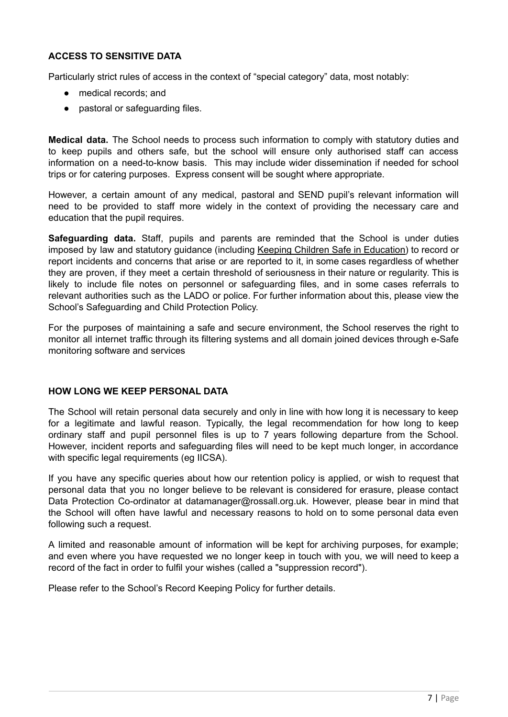# **ACCESS TO SENSITIVE DATA**

Particularly strict rules of access in the context of "special category" data, most notably:

- medical records; and
- pastoral or safequarding files.

**Medical data.** The School needs to process such information to comply with statutory duties and to keep pupils and others safe, but the school will ensure only authorised staff can access information on a need-to-know basis. This may include wider dissemination if needed for school trips or for catering purposes. Express consent will be sought where appropriate.

However, a certain amount of any medical, pastoral and SEND pupil's relevant information will need to be provided to staff more widely in the context of providing the necessary care and education that the pupil requires.

**Safeguarding data.** Staff, pupils and parents are reminded that the School is under duties imposed by law and statutory guidance (including Keeping Children Safe in Education) to record or report incidents and concerns that arise or are reported to it, in some cases regardless of whether they are proven, if they meet a certain threshold of seriousness in their nature or regularity. This is likely to include file notes on personnel or safeguarding files, and in some cases referrals to relevant authorities such as the LADO or police. For further information about this, please view the School's Safeguarding and Child Protection Policy.

For the purposes of maintaining a safe and secure environment, the School reserves the right to monitor all internet traffic through its filtering systems and all domain joined devices through e-Safe monitoring software and services

#### **HOW LONG WE KEEP PERSONAL DATA**

The School will retain personal data securely and only in line with how long it is necessary to keep for a legitimate and lawful reason. Typically, the legal recommendation for how long to keep ordinary staff and pupil personnel files is up to 7 years following departure from the School. However, incident reports and safeguarding files will need to be kept much longer, in accordance with specific legal requirements (eg IICSA).

If you have any specific queries about how our retention policy is applied, or wish to request that personal data that you no longer believe to be relevant is considered for erasure, please contact Data Protection Co-ordinator at datamanager@rossall.org.uk. However, please bear in mind that the School will often have lawful and necessary reasons to hold on to some personal data even following such a request.

A limited and reasonable amount of information will be kept for archiving purposes, for example; and even where you have requested we no longer keep in touch with you, we will need to keep a record of the fact in order to fulfil your wishes (called a "suppression record").

Please refer to the School's Record Keeping Policy for further details.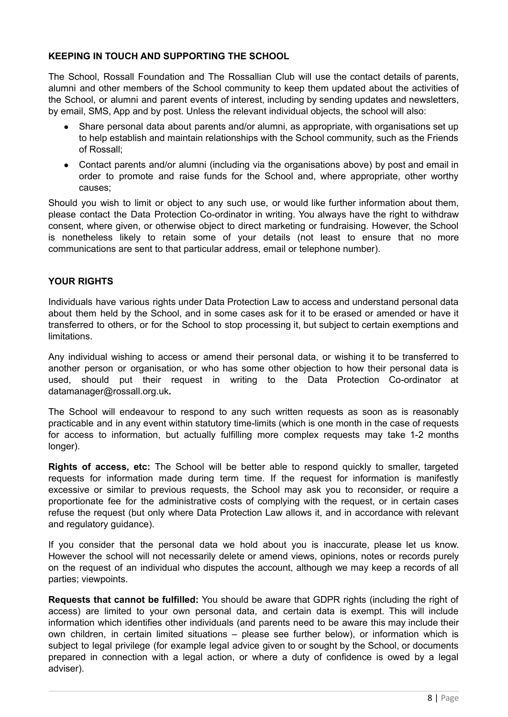# **KEEPING IN TOUCH AND SUPPORTING THE SCHOOL**

The School, Rossall Foundation and The Rossallian Club will use the contact details of parents, alumni and other members of the School community to keep them updated about the activities of the School, or alumni and parent events of interest, including by sending updates and newsletters, by email, SMS, App and by post. Unless the relevant individual objects, the school will also:

- Share personal data about parents and/or alumni, as appropriate, with organisations set up to help establish and maintain relationships with the School community, such as the Friends of Rossall;
- Contact parents and/or alumni (including via the organisations above) by post and email in order to promote and raise funds for the School and, where appropriate, other worthy causes;

Should you wish to limit or object to any such use, or would like further information about them, please contact the Data Protection Co-ordinator in writing. You always have the right to withdraw consent, where given, or otherwise object to direct marketing or fundraising. However, the School is nonetheless likely to retain some of your details (not least to ensure that no more communications are sent to that particular address, email or telephone number).

## **YOUR RIGHTS**

Individuals have various rights under Data Protection Law to access and understand personal data about them held by the School, and in some cases ask for it to be erased or amended or have it transferred to others, or for the School to stop processing it, but subject to certain exemptions and limitations.

Any individual wishing to access or amend their personal data, or wishing it to be transferred to another person or organisation, or who has some other objection to how their personal data is used, should put their request in writing to the Data Protection Co-ordinator at datamanager@rossall.org.uk**.**

The School will endeavour to respond to any such written requests as soon as is reasonably practicable and in any event within statutory time-limits (which is one month in the case of requests for access to information, but actually fulfilling more complex requests may take 1-2 months longer).

**Rights of access, etc:** The School will be better able to respond quickly to smaller, targeted requests for information made during term time. If the request for information is manifestly excessive or similar to previous requests, the School may ask you to reconsider, or require a proportionate fee for the administrative costs of complying with the request, or in certain cases refuse the request (but only where Data Protection Law allows it, and in accordance with relevant and regulatory guidance).

If you consider that the personal data we hold about you is inaccurate, please let us know. However the school will not necessarily delete or amend views, opinions, notes or records purely on the request of an individual who disputes the account, although we may keep a records of all parties; viewpoints.

**Requests that cannot be fulfilled:** You should be aware that GDPR rights (including the right of access) are limited to your own personal data, and certain data is exempt. This will include information which identifies other individuals (and parents need to be aware this may include their own children, in certain limited situations – please see further below), or information which is subject to legal privilege (for example legal advice given to or sought by the School, or documents prepared in connection with a legal action, or where a duty of confidence is owed by a legal adviser).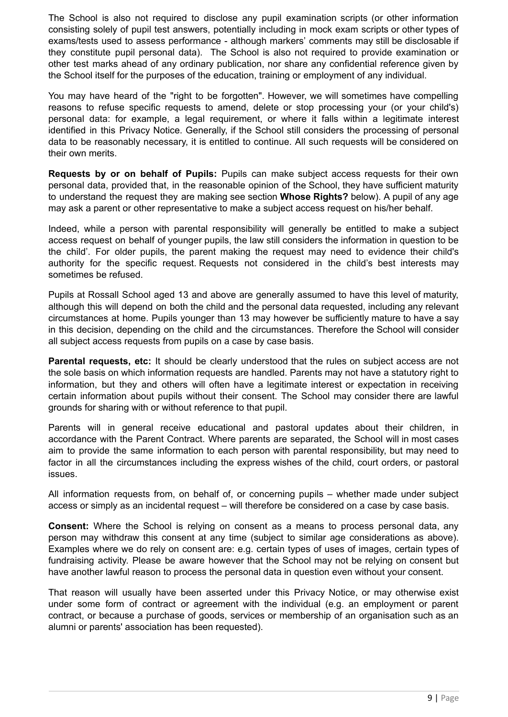The School is also not required to disclose any pupil examination scripts (or other information consisting solely of pupil test answers, potentially including in mock exam scripts or other types of exams/tests used to assess performance - although markers' comments may still be disclosable if they constitute pupil personal data). The School is also not required to provide examination or other test marks ahead of any ordinary publication, nor share any confidential reference given by the School itself for the purposes of the education, training or employment of any individual.

You may have heard of the "right to be forgotten". However, we will sometimes have compelling reasons to refuse specific requests to amend, delete or stop processing your (or your child's) personal data: for example, a legal requirement, or where it falls within a legitimate interest identified in this Privacy Notice. Generally, if the School still considers the processing of personal data to be reasonably necessary, it is entitled to continue. All such requests will be considered on their own merits.

**Requests by or on behalf of Pupils:** Pupils can make subject access requests for their own personal data, provided that, in the reasonable opinion of the School, they have sufficient maturity to understand the request they are making see section **Whose Rights?** below). A pupil of any age may ask a parent or other representative to make a subject access request on his/her behalf.

Indeed, while a person with parental responsibility will generally be entitled to make a subject access request on behalf of younger pupils, the law still considers the information in question to be the child'. For older pupils, the parent making the request may need to evidence their child's authority for the specific request. Requests not considered in the child's best interests may sometimes be refused.

Pupils at Rossall School aged 13 and above are generally assumed to have this level of maturity, although this will depend on both the child and the personal data requested, including any relevant circumstances at home. Pupils younger than 13 may however be sufficiently mature to have a say in this decision, depending on the child and the circumstances. Therefore the School will consider all subject access requests from pupils on a case by case basis.

**Parental requests, etc:** It should be clearly understood that the rules on subject access are not the sole basis on which information requests are handled. Parents may not have a statutory right to information, but they and others will often have a legitimate interest or expectation in receiving certain information about pupils without their consent. The School may consider there are lawful grounds for sharing with or without reference to that pupil.

Parents will in general receive educational and pastoral updates about their children, in accordance with the Parent Contract. Where parents are separated, the School will in most cases aim to provide the same information to each person with parental responsibility, but may need to factor in all the circumstances including the express wishes of the child, court orders, or pastoral issues.

All information requests from, on behalf of, or concerning pupils – whether made under subject access or simply as an incidental request – will therefore be considered on a case by case basis.

**Consent:** Where the School is relying on consent as a means to process personal data, any person may withdraw this consent at any time (subject to similar age considerations as above). Examples where we do rely on consent are: e.g. certain types of uses of images, certain types of fundraising activity. Please be aware however that the School may not be relying on consent but have another lawful reason to process the personal data in question even without your consent.

That reason will usually have been asserted under this Privacy Notice, or may otherwise exist under some form of contract or agreement with the individual (e.g. an employment or parent contract, or because a purchase of goods, services or membership of an organisation such as an alumni or parents' association has been requested).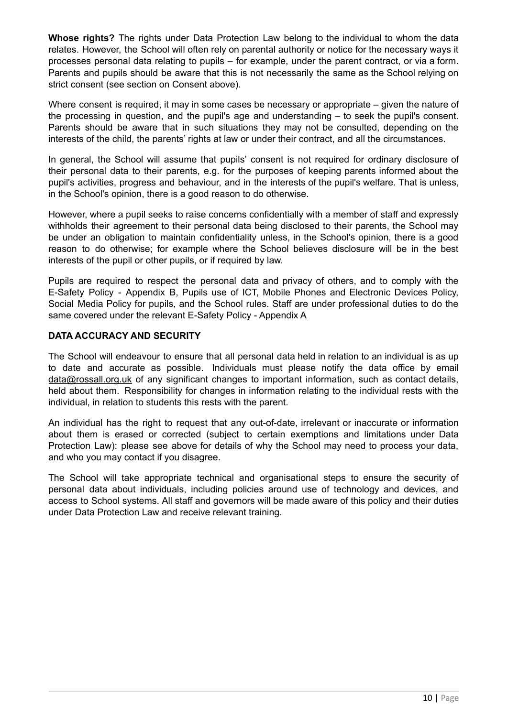**Whose rights?** The rights under Data Protection Law belong to the individual to whom the data relates. However, the School will often rely on parental authority or notice for the necessary ways it processes personal data relating to pupils – for example, under the parent contract, or via a form. Parents and pupils should be aware that this is not necessarily the same as the School relying on strict consent (see section on Consent above).

Where consent is required, it may in some cases be necessary or appropriate – given the nature of the processing in question, and the pupil's age and understanding – to seek the pupil's consent. Parents should be aware that in such situations they may not be consulted, depending on the interests of the child, the parents' rights at law or under their contract, and all the circumstances.

In general, the School will assume that pupils' consent is not required for ordinary disclosure of their personal data to their parents, e.g. for the purposes of keeping parents informed about the pupil's activities, progress and behaviour, and in the interests of the pupil's welfare. That is unless, in the School's opinion, there is a good reason to do otherwise.

However, where a pupil seeks to raise concerns confidentially with a member of staff and expressly withholds their agreement to their personal data being disclosed to their parents, the School may be under an obligation to maintain confidentiality unless, in the School's opinion, there is a good reason to do otherwise; for example where the School believes disclosure will be in the best interests of the pupil or other pupils, or if required by law.

Pupils are required to respect the personal data and privacy of others, and to comply with the E-Safety Policy - Appendix B, Pupils use of ICT, Mobile Phones and Electronic Devices Policy, Social Media Policy for pupils, and the School rules. Staff are under professional duties to do the same covered under the relevant E-Safety Policy - Appendix A

## **DATA ACCURACY AND SECURITY**

The School will endeavour to ensure that all personal data held in relation to an individual is as up to date and accurate as possible. Individuals must please notify the data office by email [data@rossall.org.uk](mailto:data@rossall.org.uk) of any significant changes to important information, such as contact details, held about them. Responsibility for changes in information relating to the individual rests with the individual, in relation to students this rests with the parent.

An individual has the right to request that any out-of-date, irrelevant or inaccurate or information about them is erased or corrected (subject to certain exemptions and limitations under Data Protection Law): please see above for details of why the School may need to process your data, and who you may contact if you disagree.

The School will take appropriate technical and organisational steps to ensure the security of personal data about individuals, including policies around use of technology and devices, and access to School systems. All staff and governors will be made aware of this policy and their duties under Data Protection Law and receive relevant training.